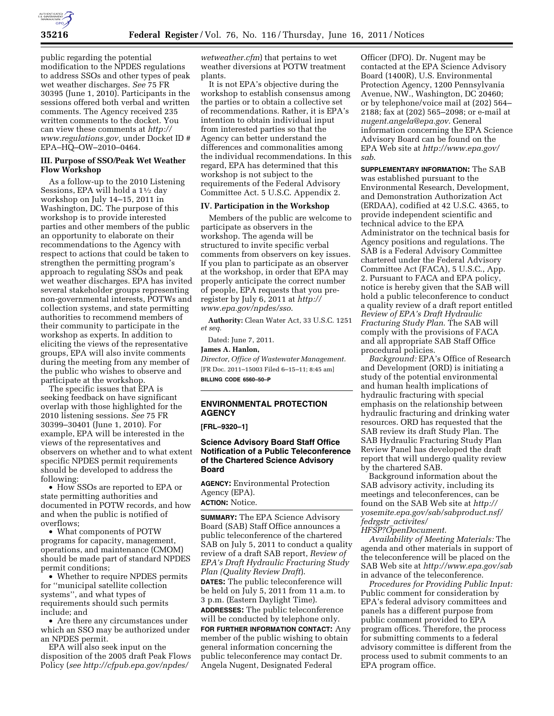

public regarding the potential modification to the NPDES regulations to address SSOs and other types of peak wet weather discharges. *See* 75 FR 30395 (June 1, 2010). Participants in the sessions offered both verbal and written comments. The Agency received 235 written comments to the docket. You can view these comments at *[http://](http://www.regulations.gov)  [www.regulations.gov,](http://www.regulations.gov)* under Docket ID # EPA–HQ–OW–2010–0464.

## **III. Purpose of SSO/Peak Wet Weather Flow Workshop**

As a follow-up to the 2010 Listening Sessions, EPA will hold a 11⁄2 day workshop on July 14–15, 2011 in Washington, DC. The purpose of this workshop is to provide interested parties and other members of the public an opportunity to elaborate on their recommendations to the Agency with respect to actions that could be taken to strengthen the permitting program's approach to regulating SSOs and peak wet weather discharges. EPA has invited several stakeholder groups representing non-governmental interests, POTWs and collection systems, and state permitting authorities to recommend members of their community to participate in the workshop as experts. In addition to eliciting the views of the representative groups, EPA will also invite comments during the meeting from any member of the public who wishes to observe and participate at the workshop.

The specific issues that EPA is seeking feedback on have significant overlap with those highlighted for the 2010 listening sessions. *See* 75 FR 30399–30401 (June 1, 2010). For example, EPA will be interested in the views of the representatives and observers on whether and to what extent specific NPDES permit requirements should be developed to address the following:

• How SSOs are reported to EPA or state permitting authorities and documented in POTW records, and how and when the public is notified of overflows;

• What components of POTW programs for capacity, management, operations, and maintenance (CMOM) should be made part of standard NPDES permit conditions;

• Whether to require NPDES permits for ''municipal satellite collection systems'', and what types of requirements should such permits include; and

• Are there any circumstances under which an SSO may be authorized under an NPDES permit.

EPA will also seek input on the disposition of the 2005 draft Peak Flows Policy (*see [http://cfpub.epa.gov/npdes/](http://cfpub.epa.gov/npdes/wetweather.cfm)* 

*[wetweather.cfm](http://cfpub.epa.gov/npdes/wetweather.cfm)*) that pertains to wet weather diversions at POTW treatment plants.

It is not EPA's objective during the workshop to establish consensus among the parties or to obtain a collective set of recommendations. Rather, it is EPA's intention to obtain individual input from interested parties so that the Agency can better understand the differences and commonalities among the individual recommendations. In this regard, EPA has determined that this workshop is not subject to the requirements of the Federal Advisory Committee Act. 5 U.S.C. Appendix 2.

# **IV. Participation in the Workshop**

Members of the public are welcome to participate as observers in the workshop. The agenda will be structured to invite specific verbal comments from observers on key issues. If you plan to participate as an observer at the workshop, in order that EPA may properly anticipate the correct number of people, EPA requests that you preregister by July 6, 2011 at *[http://](http://www.epa.gov/npdes/sso) [www.epa.gov/npdes/sso](http://www.epa.gov/npdes/sso)*.

**Authority:** Clean Water Act, 33 U.S.C. 1251 *et seq.* 

Dated: June 7, 2011.

# **James A. Hanlon,**

*Director, Office of Wastewater Management.*  [FR Doc. 2011–15003 Filed 6–15–11; 8:45 am] **BILLING CODE 6560–50–P** 

## **ENVIRONMENTAL PROTECTION AGENCY**

**[FRL–9320–1]** 

## **Science Advisory Board Staff Office Notification of a Public Teleconference of the Chartered Science Advisory Board**

**AGENCY:** Environmental Protection Agency (EPA). **ACTION:** Notice.

**SUMMARY:** The EPA Science Advisory Board (SAB) Staff Office announces a public teleconference of the chartered SAB on July 5, 2011 to conduct a quality review of a draft SAB report, *Review of EPA's Draft Hydraulic Fracturing Study Plan (Quality Review Draft*). **DATES:** The public teleconference will be held on July 5, 2011 from 11 a.m. to 3 p.m. (Eastern Daylight Time). **ADDRESSES:** The public teleconference will be conducted by telephone only.

**FOR FURTHER INFORMATION CONTACT:** Any member of the public wishing to obtain general information concerning the public teleconference may contact Dr. Angela Nugent, Designated Federal

Officer (DFO). Dr. Nugent may be contacted at the EPA Science Advisory Board (1400R), U.S. Environmental Protection Agency, 1200 Pennsylvania Avenue, NW., Washington, DC 20460; or by telephone/voice mail at (202) 564– 2188; fax at (202) 565–2098; or e-mail at *[nugent.angela@epa.gov.](mailto:nugent.angela@epa.gov)* General information concerning the EPA Science Advisory Board can be found on the EPA Web site at *[http://www.epa.gov/](http://www.epa.gov/sab) [sab](http://www.epa.gov/sab)*.

**SUPPLEMENTARY INFORMATION:** The SAB was established pursuant to the Environmental Research, Development, and Demonstration Authorization Act (ERDAA), codified at 42 U.S.C. 4365, to provide independent scientific and technical advice to the EPA Administrator on the technical basis for Agency positions and regulations. The SAB is a Federal Advisory Committee chartered under the Federal Advisory Committee Act (FACA), 5 U.S.C., App. 2. Pursuant to FACA and EPA policy, notice is hereby given that the SAB will hold a public teleconference to conduct a quality review of a draft report entitled *Review of EPA's Draft Hydraulic Fracturing Study Plan*. The SAB will comply with the provisions of FACA and all appropriate SAB Staff Office procedural policies.

*Background:* EPA's Office of Research and Development (ORD) is initiating a study of the potential environmental and human health implications of hydraulic fracturing with special emphasis on the relationship between hydraulic fracturing and drinking water resources. ORD has requested that the SAB review its draft Study Plan. The SAB Hydraulic Fracturing Study Plan Review Panel has developed the draft report that will undergo quality review by the chartered SAB.

Background information about the SAB advisory activity, including its meetings and teleconferences, can be found on the SAB Web site at *[http://](http://yosemite.epa.gov/sab/sabproduct.nsf/fedrgstr_activites/HFSP?OpenDocument)  [yosemite.epa.gov/sab/sabproduct.nsf/](http://yosemite.epa.gov/sab/sabproduct.nsf/fedrgstr_activites/HFSP?OpenDocument)  fedrgstr*\_*[activites/](http://yosemite.epa.gov/sab/sabproduct.nsf/fedrgstr_activites/HFSP?OpenDocument)* 

*[HFSP?OpenDocument](http://yosemite.epa.gov/sab/sabproduct.nsf/fedrgstr_activites/HFSP?OpenDocument)*.

*Availability of Meeting Materials:* The agenda and other materials in support of the teleconference will be placed on the SAB Web site at *<http://www.epa.gov/sab>* in advance of the teleconference.

*Procedures for Providing Public Input:*  Public comment for consideration by EPA's federal advisory committees and panels has a different purpose from public comment provided to EPA program offices. Therefore, the process for submitting comments to a federal advisory committee is different from the process used to submit comments to an EPA program office.